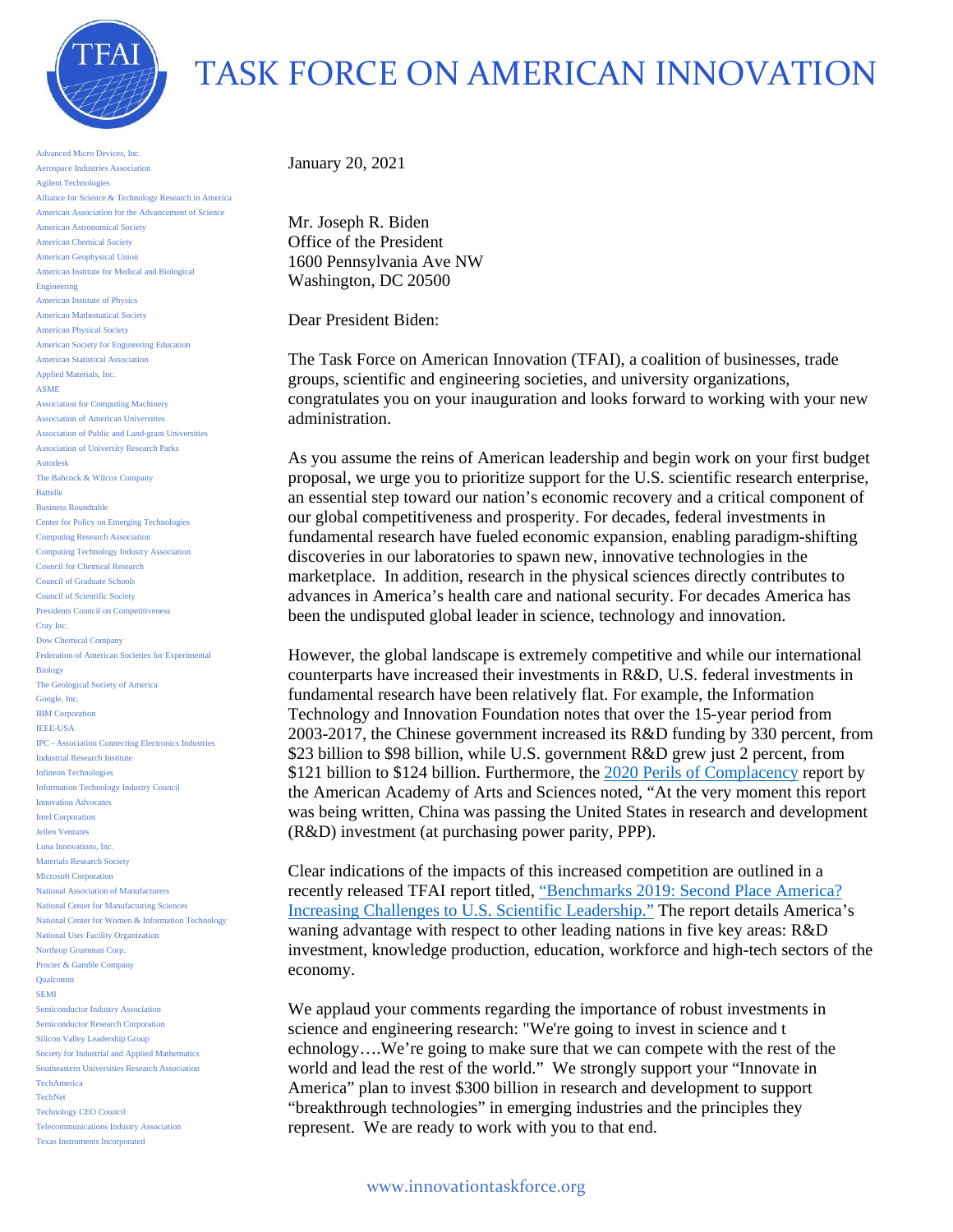

## TASK FORCE ON AMERICAN INNOVATION

Advanced Micro Devices, Inc. Aerospace Industries Association Agilent Technologies Alliance for Science & Technology Research in America American Association for the Advancement of Science American Astronomical Society American Chemical Society American Geophysical Union American Institute for Medical and Biological Engineering American Institute of Physics American Mathematical Society American Physical Society American Society for Engineering Education American Statistical Association Applied Materials, Inc. ASME Association for Computing Machinery Association of American Universities Association of Public and Land-grant Universities Association of University Research Parks Autodesk The Babcock & Wilcox Company Battelle Business Roundtable Center for Policy on Emerging Technologies Computing Research Association Computing Technology Industry Association Council for Chemical Research Council of Graduate Schools Council of Scientific Society Presidents Council on Competitiveness Cray Inc. Dow Chemical Company Federation of American Societies for Experimental Biology The Geological Society of America Google, Inc. IBM Corporation IEEE-USA IPC - Association Connecting Electronics Industries Industrial Research Institute Infineon Technologies Information Technology Industry Council Innovation Advocates Intel Corporation Jellen Ventures Luna Innovations, Inc. Materials Research Society Microsoft Corporation National Association of Manufacturers National Center for Manufacturing Sciences National Center for Women & Information Technology National User Facility Organization Northrop Grumman Corp. Procter & Gamble Company Qualcomm SEMI Semiconductor Industry Association Semiconductor Research Corporation Silicon Valley Leadership Group Society for Industrial and Applied Mathematics Southeastern Universities Research Association TechAmerica TechNet Technology CEO Council Telecommunications Industry Association Texas Instruments Incorporated

January 20, 2021

Mr. Joseph R. Biden Office of the President 1600 Pennsylvania Ave NW Washington, DC 20500

Dear President Biden:

The Task Force on American Innovation (TFAI), a coalition of businesses, trade groups, scientific and engineering societies, and university organizations, congratulates you on your inauguration and looks forward to working with your new administration.

As you assume the reins of American leadership and begin work on your first budget proposal, we urge you to prioritize support for the U.S. scientific research enterprise, an essential step toward our nation's economic recovery and a critical component of our global competitiveness and prosperity. For decades, federal investments in fundamental research have fueled economic expansion, enabling paradigm-shifting discoveries in our laboratories to spawn new, innovative technologies in the marketplace. In addition, research in the physical sciences directly contributes to advances in America's health care and national security. For decades America has been the undisputed global leader in science, technology and innovation.

However, the global landscape is extremely competitive and while our international counterparts have increased their investments in R&D, U.S. federal investments in fundamental research have been relatively flat. For example, the Information Technology and Innovation Foundation notes that over the 15-year period from 2003-2017, the Chinese government increased its R&D funding by 330 percent, from \$23 billion to \$98 billion, while U.S. government R&D grew just 2 percent, from \$121 billion to \$124 billion. Furthermore, the [2020 Perils of Complacency](https://www.amacad.org/sites/default/files/publication/downloads/Perils-of-Complacency_Report-Brief_4.pdf) report by the American Academy of Arts and Sciences noted, "At the very moment this report was being written, China was passing the United States in research and development (R&D) investment (at purchasing power parity, PPP).

Clear indications of the impacts of this increased competition are outlined in a recently released TFAI report titled, ["Benchmarks 2019: Second Place America?](http://www.innovationtaskforce.org/benchmarks2019/)  [Increasing Challenges to U.S. Scientific Leadership."](http://www.innovationtaskforce.org/benchmarks2019/) The report details America's waning advantage with respect to other leading nations in five key areas: R&D investment, knowledge production, education, workforce and high-tech sectors of the economy.

We applaud your comments regarding the importance of robust investments in science and engineering research: "We're going to invest in science and t echnology….We're going to make sure that we can compete with the rest of the world and lead the rest of the world." We strongly support your "Innovate in America" plan to invest \$300 billion in research and development to support "breakthrough technologies" in emerging industries and the principles they represent. We are ready to work with you to that end.